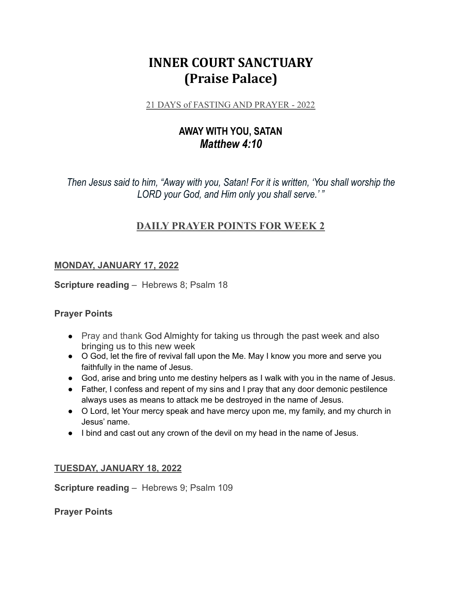# **INNER COURT SANCTUARY (Praise Palace)**

21 DAYS of FASTING AND PRAYER - 2022

# **AWAY WITH YOU, SATAN** *Matthew 4:10*

*Then Jesus said to him, "Away with you, Satan! For it is written, 'You shall worship the LORD your God, and Him only you shall serve.' "*

## **DAILY PRAYER POINTS FOR WEEK 2**

#### **MONDAY, JANUARY 17, 2022**

**Scripture reading** – Hebrews 8; Psalm 18

#### **Prayer Points**

- Pray and thank God Almighty for taking us through the past week and also bringing us to this new week
- O God, let the fire of revival fall upon the Me. May I know you more and serve you faithfully in the name of Jesus.
- God, arise and bring unto me destiny helpers as I walk with you in the name of Jesus.
- Father, I confess and repent of my sins and I pray that any door demonic pestilence always uses as means to attack me be destroyed in the name of Jesus.
- O Lord, let Your mercy speak and have mercy upon me, my family, and my church in Jesus' name.
- I bind and cast out any crown of the devil on my head in the name of Jesus.

#### **TUESDAY, JANUARY 18, 2022**

**Scripture reading** – Hebrews 9; Psalm 109

**Prayer Points**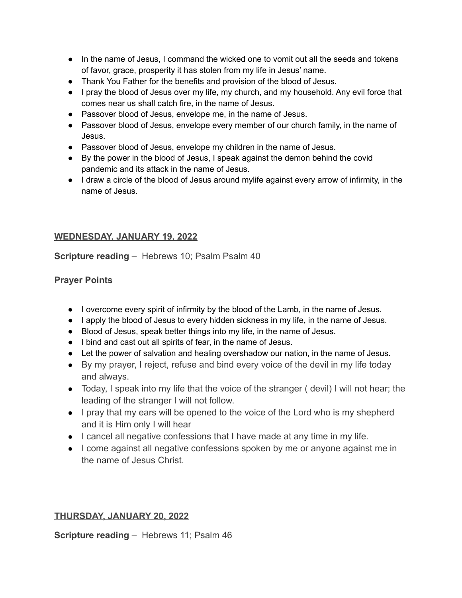- In the name of Jesus, I command the wicked one to vomit out all the seeds and tokens of favor, grace, prosperity it has stolen from my life in Jesus' name.
- Thank You Father for the benefits and provision of the blood of Jesus.
- I pray the blood of Jesus over my life, my church, and my household. Any evil force that comes near us shall catch fire, in the name of Jesus.
- Passover blood of Jesus, envelope me, in the name of Jesus.
- Passover blood of Jesus, envelope every member of our church family, in the name of Jesus.
- Passover blood of Jesus, envelope my children in the name of Jesus.
- By the power in the blood of Jesus, I speak against the demon behind the covid pandemic and its attack in the name of Jesus.
- I draw a circle of the blood of Jesus around mylife against every arrow of infirmity, in the name of Jesus.

## **WEDNESDAY, JANUARY 19, 2022**

**Scripture reading** – Hebrews 10; Psalm Psalm 40

## **Prayer Points**

- I overcome every spirit of infirmity by the blood of the Lamb, in the name of Jesus.
- I apply the blood of Jesus to every hidden sickness in my life, in the name of Jesus.
- Blood of Jesus, speak better things into my life, in the name of Jesus.
- I bind and cast out all spirits of fear, in the name of Jesus.
- Let the power of salvation and healing overshadow our nation, in the name of Jesus.
- By my prayer, I reject, refuse and bind every voice of the devil in my life today and always.
- Today, I speak into my life that the voice of the stranger ( devil) I will not hear; the leading of the stranger I will not follow.
- I pray that my ears will be opened to the voice of the Lord who is my shepherd and it is Him only I will hear
- I cancel all negative confessions that I have made at any time in my life.
- I come against all negative confessions spoken by me or anyone against me in the name of Jesus Christ.

## **THURSDAY, JANUARY 20, 2022**

**Scripture reading** – Hebrews 11; Psalm 46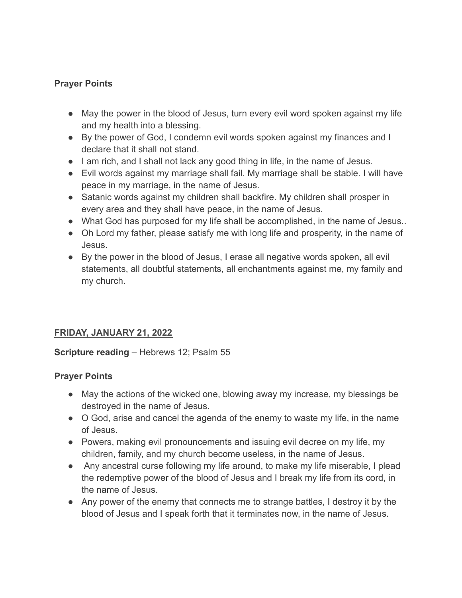## **Prayer Points**

- May the power in the blood of Jesus, turn every evil word spoken against my life and my health into a blessing.
- By the power of God, I condemn evil words spoken against my finances and I declare that it shall not stand.
- I am rich, and I shall not lack any good thing in life, in the name of Jesus.
- Evil words against my marriage shall fail. My marriage shall be stable. I will have peace in my marriage, in the name of Jesus.
- Satanic words against my children shall backfire. My children shall prosper in every area and they shall have peace, in the name of Jesus.
- What God has purposed for my life shall be accomplished, in the name of Jesus..
- Oh Lord my father, please satisfy me with long life and prosperity, in the name of Jesus.
- By the power in the blood of Jesus, I erase all negative words spoken, all evil statements, all doubtful statements, all enchantments against me, my family and my church.

## **FRIDAY, JANUARY 21, 2022**

## **Scripture reading** – Hebrews 12; Psalm 55

## **Prayer Points**

- May the actions of the wicked one, blowing away my increase, my blessings be destroyed in the name of Jesus.
- O God, arise and cancel the agenda of the enemy to waste my life, in the name of Jesus.
- Powers, making evil pronouncements and issuing evil decree on my life, my children, family, and my church become useless, in the name of Jesus.
- Any ancestral curse following my life around, to make my life miserable, I plead the redemptive power of the blood of Jesus and I break my life from its cord, in the name of Jesus.
- Any power of the enemy that connects me to strange battles, I destroy it by the blood of Jesus and I speak forth that it terminates now, in the name of Jesus.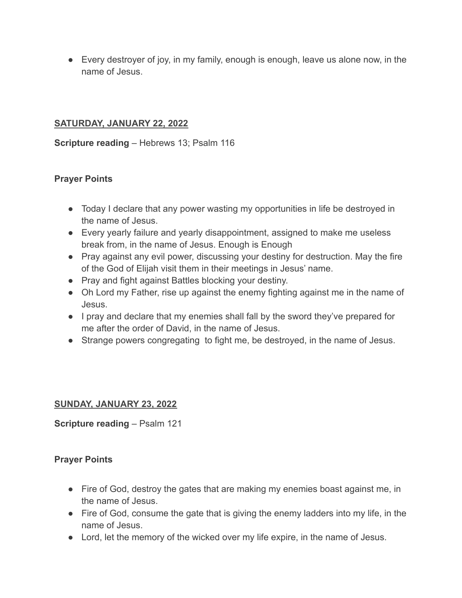● Every destroyer of joy, in my family, enough is enough, leave us alone now, in the name of Jesus.

## **SATURDAY, JANUARY 22, 2022**

**Scripture reading** – Hebrews 13; Psalm 116

#### **Prayer Points**

- Today I declare that any power wasting my opportunities in life be destroyed in the name of Jesus.
- Every yearly failure and yearly disappointment, assigned to make me useless break from, in the name of Jesus. Enough is Enough
- Pray against any evil power, discussing your destiny for destruction. May the fire of the God of Elijah visit them in their meetings in Jesus' name.
- Pray and fight against Battles blocking your destiny.
- Oh Lord my Father, rise up against the enemy fighting against me in the name of Jesus.
- I pray and declare that my enemies shall fall by the sword they've prepared for me after the order of David, in the name of Jesus.
- Strange powers congregating to fight me, be destroyed, in the name of Jesus.

#### **SUNDAY, JANUARY 23, 2022**

**Scripture reading** – Psalm 121

#### **Prayer Points**

- Fire of God, destroy the gates that are making my enemies boast against me, in the name of Jesus.
- Fire of God, consume the gate that is giving the enemy ladders into my life, in the name of Jesus.
- Lord, let the memory of the wicked over my life expire, in the name of Jesus.